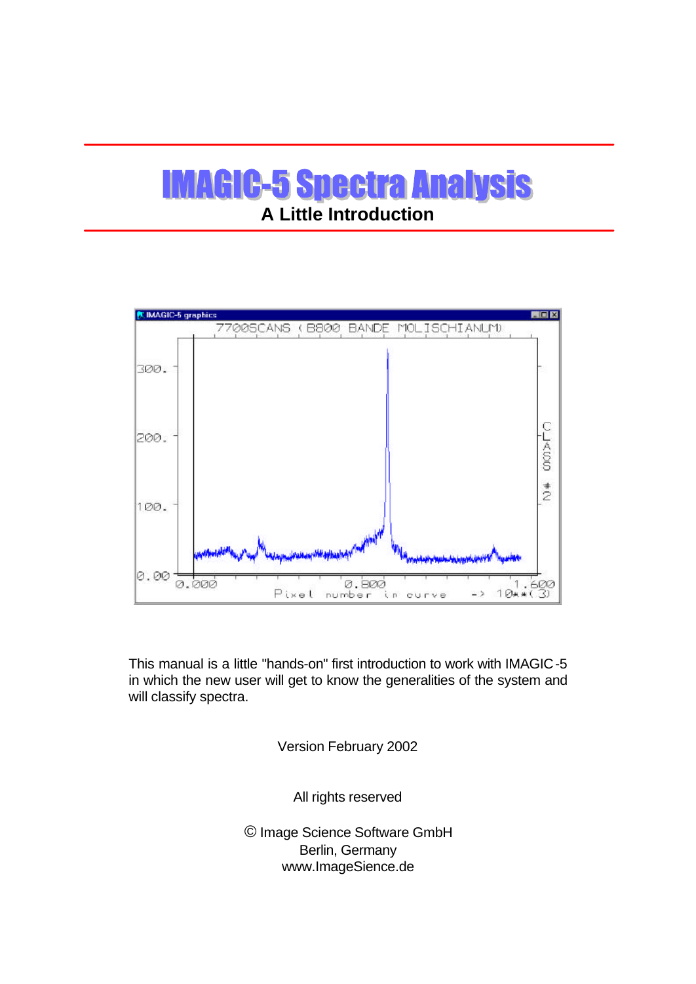# **IMAGIC-5 Spectra Analysis A Little Introduction**



This manual is a little "hands-on" first introduction to work with IMAGIC-5 in which the new user will get to know the generalities of the system and will classify spectra.

Version February 2002

All rights reserved

© Image Science Software GmbH Berlin, Germany www.ImageSience.de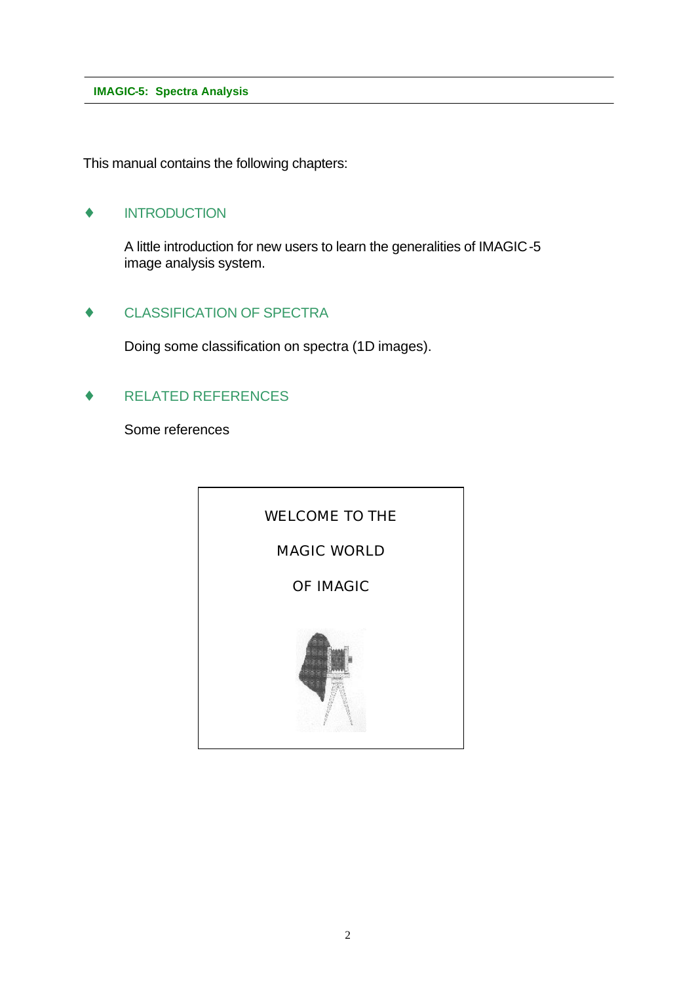This manual contains the following chapters:

# **INTRODUCTION**

A little introduction for new users to learn the generalities of IMAGIC-5 image analysis system.

### ♦ CLASSIFICATION OF SPECTRA

Doing some classification on spectra (1D images).

# RELATED REFERENCES

Some references

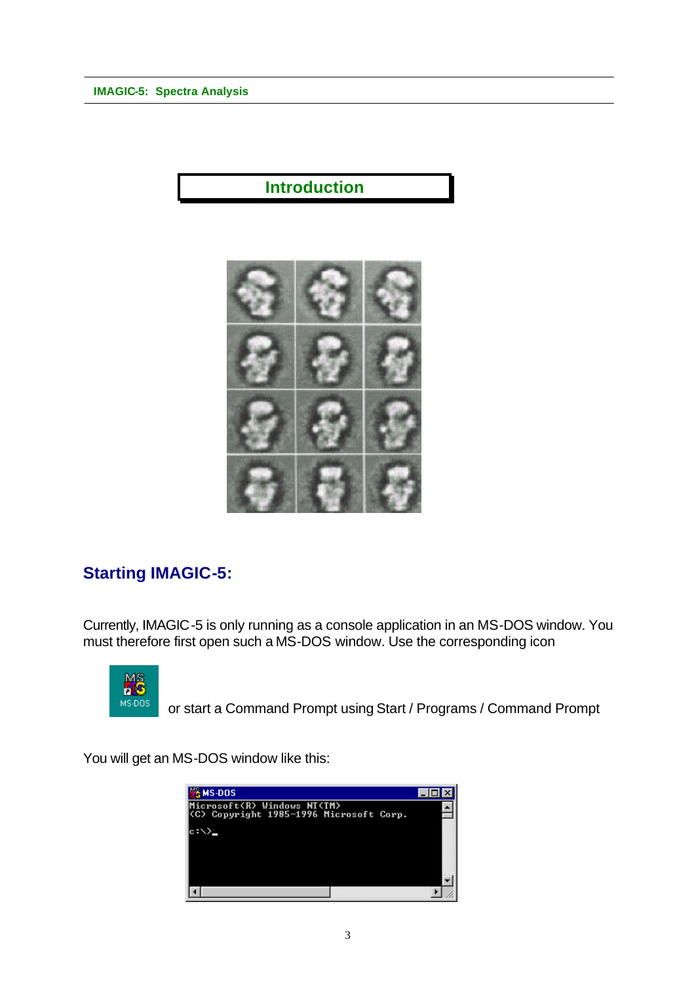# **Introduction**



# **Starting IMAGIC-5:**

Currently, IMAGIC-5 is only running as a console application in an MS-DOS window. You must therefore first open such a MS-DOS window. Use the corresponding icon



or start a Command Prompt using Start / Programs / Command Prompt

You will get an MS-DOS window like this:

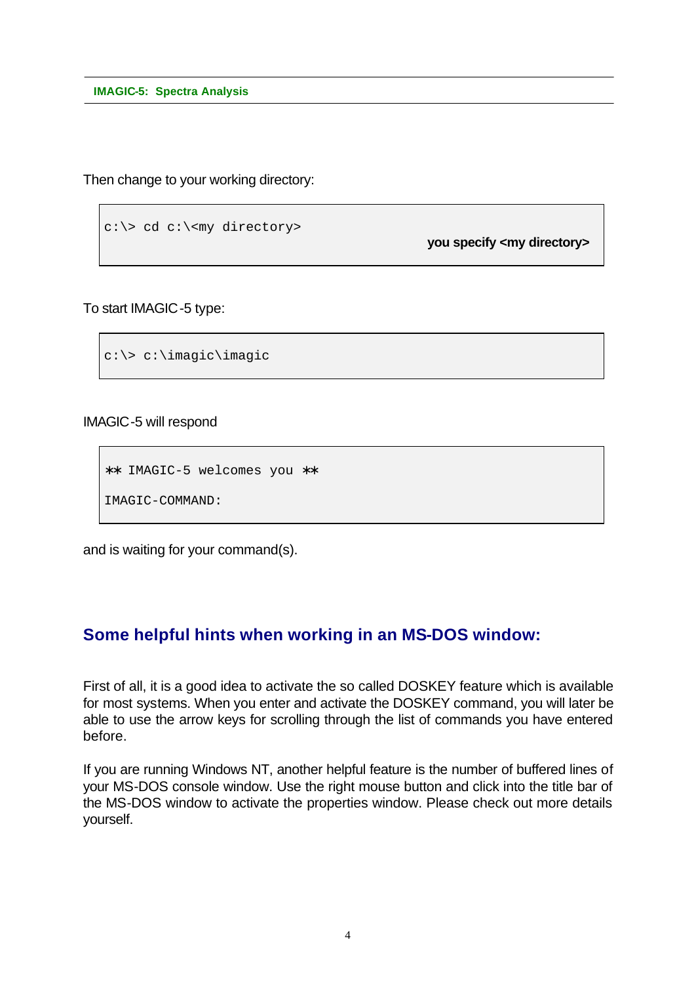Then change to your working directory:

```
c:\> cd c:\<my directory>
```
**you specify <my directory>**

To start IMAGIC-5 type:

```
c:\> c:\imagic\imagic
```
IMAGIC-5 will respond

∗∗ IMAGIC-5 welcomes you ∗∗

IMAGIC-COMMAND:

and is waiting for your command(s).

# **Some helpful hints when working in an MS-DOS window:**

First of all, it is a good idea to activate the so called DOSKEY feature which is available for most systems. When you enter and activate the DOSKEY command, you will later be able to use the arrow keys for scrolling through the list of commands you have entered before.

If you are running Windows NT, another helpful feature is the number of buffered lines of your MS-DOS console window. Use the right mouse button and click into the title bar of the MS-DOS window to activate the properties window. Please check out more details yourself.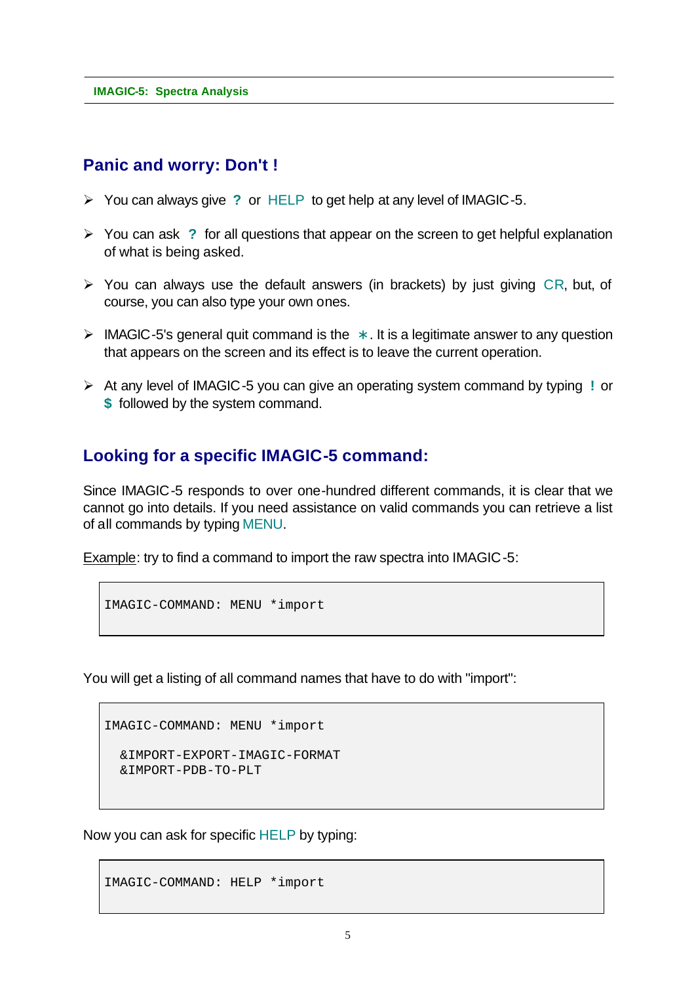# **Panic and worry: Don't !**

- ÿ You can always give **?** or HELP to get help at any level of IMAGIC-5.
- ÿ You can ask **?** for all questions that appear on the screen to get helpful explanation of what is being asked.
- $\triangleright$  You can always use the default answers (in brackets) by just giving CR, but, of course, you can also type your own ones.
- ÿ IMAGIC-5's general quit command is the **\*** . It is a legitimate answer to any question that appears on the screen and its effect is to leave the current operation.
- ÿ At any level of IMAGIC-5 you can give an operating system command by typing **!** or **\$** followed by the system command.

# **Looking for a specific IMAGIC-5 command:**

Since IMAGIC-5 responds to over one-hundred different commands, it is clear that we cannot go into details. If you need assistance on valid commands you can retrieve a list of all commands by typing MENU.

Example: try to find a command to import the raw spectra into IMAGIC-5:

```
IMAGIC-COMMAND: MENU *import
```
You will get a listing of all command names that have to do with "import":

```
IMAGIC-COMMAND: MENU *import
```

```
 &IMPORT-EXPORT-IMAGIC-FORMAT
 &IMPORT-PDB-TO-PLT
```
Now you can ask for specific HELP by typing:

IMAGIC-COMMAND: HELP \*import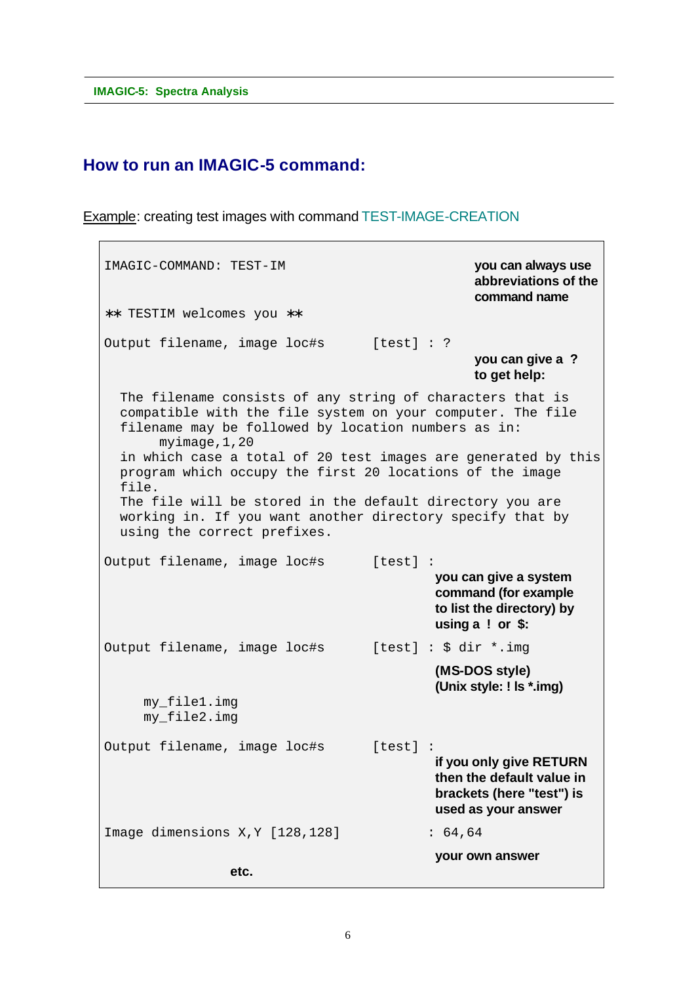# **How to run an IMAGIC-5 command:**

Example: creating test images with command TEST-IMAGE-CREATION

IMAGIC-COMMAND: TEST-IM **you can always use abbreviations of the command name** ∗∗ TESTIM welcomes you ∗∗ Output filename, image loc#s [test] : ? **you can give a ? to get help:** The filename consists of any string of characters that is compatible with the file system on your computer. The file filename may be followed by location numbers as in: myimage,1,20 in which case a total of 20 test images are generated by this program which occupy the first 20 locations of the image file. The file will be stored in the default directory you are working in. If you want another directory specify that by using the correct prefixes. Output filename, image loc#s [test] : **you can give a system command (for example to list the directory) by using a ! or \$:** Output filename, image loc#s [test] : \$ dir \*.img **(MS-DOS style) (Unix style: ! ls \*.img)** my\_file1.img my\_file2.img Output filename, image loc#s [test] : **if you only give RETURN then the default value in brackets (here "test") is used as your answer** Image dimensions X, Y [128, 128] : 64, 64 **your own answer etc.**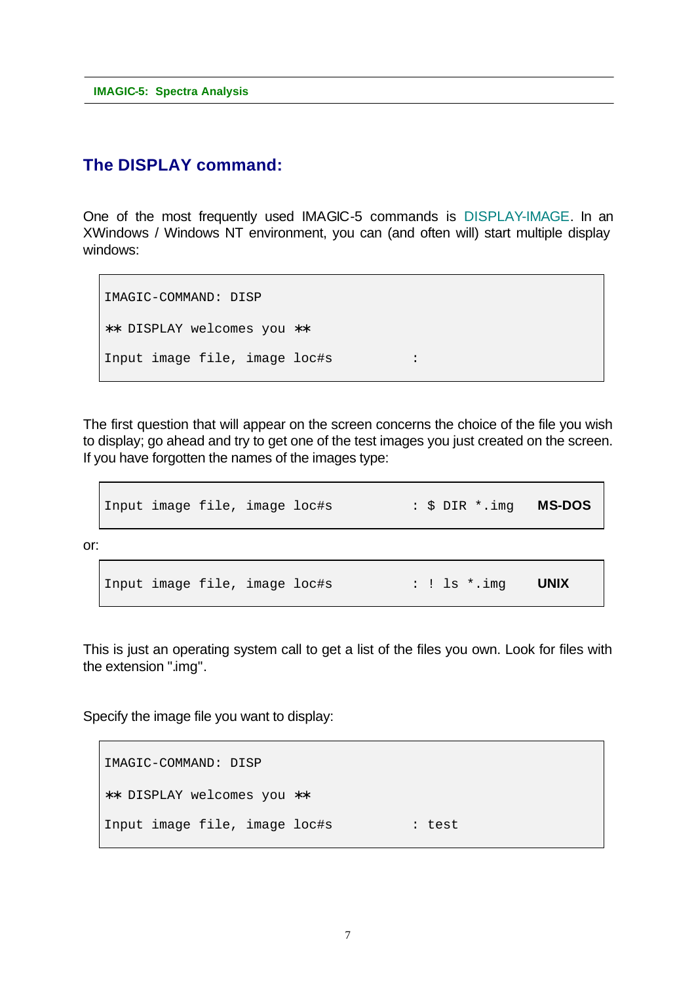# **The DISPLAY command:**

One of the most frequently used IMAGIC-5 commands is DISPLAY-IMAGE. In an XWindows / Windows NT environment, you can (and often will) start multiple display windows:

```
IMAGIC-COMMAND: DISP
∗∗ DISPLAY welcomes you ∗∗
Input image file, image loc#s :
```
The first question that will appear on the screen concerns the choice of the file you wish to display; go ahead and try to get one of the test images you just created on the screen. If you have forgotten the names of the images type:

```
Input image file, image loc#s : $ DIR *.img MS-DOS
or:
  Input image file, image loc#s : ! ls *.img UNIX
```
This is just an operating system call to get a list of the files you own. Look for files with the extension ".img".

Specify the image file you want to display:

```
IMAGIC-COMMAND: DISP
∗∗ DISPLAY welcomes you ∗∗
Input image file, image loc#s : test
```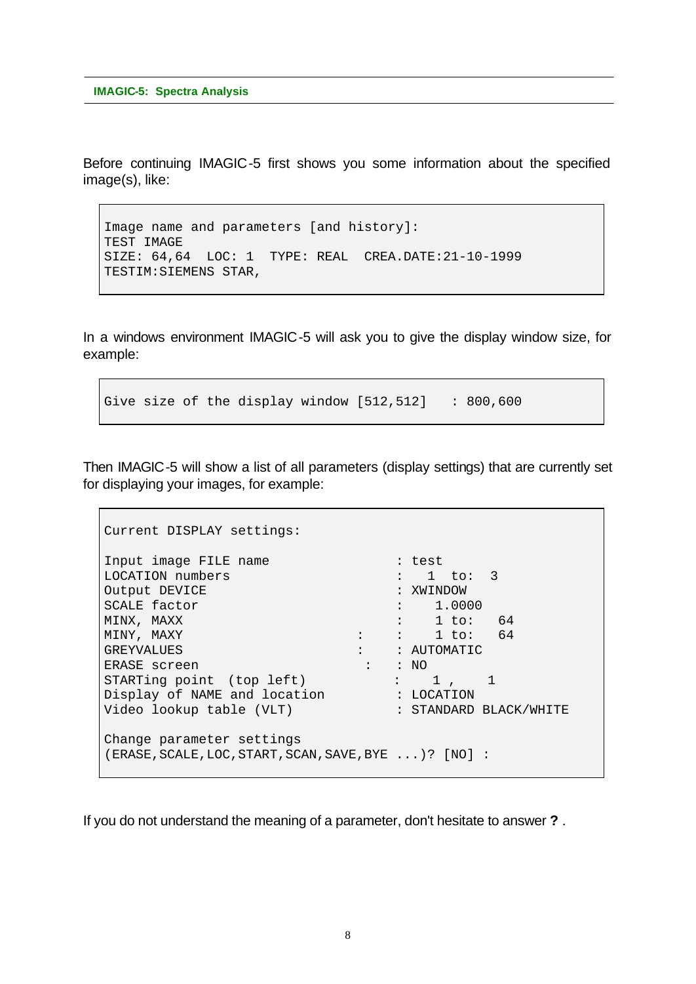Before continuing IMAGIC-5 first shows you some information about the specified image(s), like:

```
Image name and parameters [and history]:
TEST IMAGE
SIZE: 64,64 LOC: 1 TYPE: REAL CREA.DATE:21-10-1999
TESTIM:SIEMENS STAR,
```
In a windows environment IMAGIC-5 will ask you to give the display window size, for example:

Give size of the display window  $[512,512]$  : 800,600

Then IMAGIC-5 will show a list of all parameters (display settings) that are currently set for displaying your images, for example:

```
Current DISPLAY settings:
Input image FILE name : test
LOCATION numbers : 1 to: 3
Output DEVICE : XWINDOW
SCALE factor \qquad \qquad : \qquad 1.0000MINX, MAXX : 1 to: 64
MINY, MAXY : : 1 to: 64
GREYVALUES : : AUTOMATIC
ERASE screen : : NO
STARTing point (top left) : 1, 1
Display of NAME and location : LOCATION
Video lookup table (VLT) : STANDARD BLACK/WHITE
Change parameter settings
(ERASE,SCALE,LOC,START,SCAN,SAVE,BYE ...)? [NO] :
```
If you do not understand the meaning of a parameter, don't hesitate to answer **?** .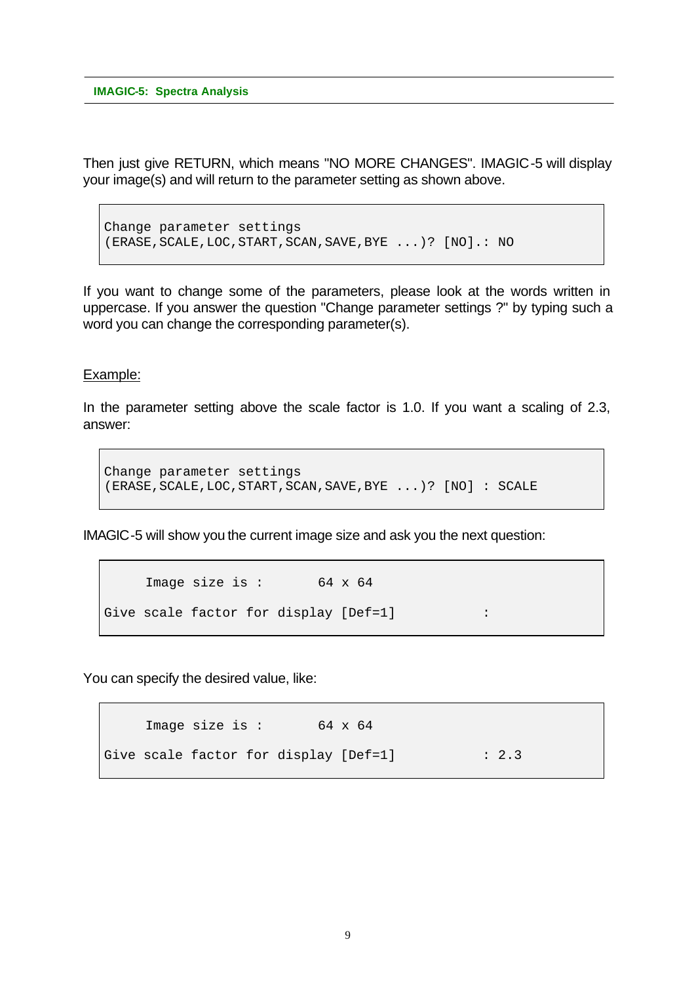Then just give RETURN, which means "NO MORE CHANGES". IMAGIC-5 will display your image(s) and will return to the parameter setting as shown above.

Change parameter settings (ERASE,SCALE,LOC,START,SCAN,SAVE,BYE ...)? [NO].: NO

If you want to change some of the parameters, please look at the words written in uppercase. If you answer the question "Change parameter settings ?" by typing such a word you can change the corresponding parameter(s).

#### Example:

In the parameter setting above the scale factor is 1.0. If you want a scaling of 2.3, answer:

```
Change parameter settings
(ERASE,SCALE,LOC,START,SCAN,SAVE,BYE ...)? [NO] : SCALE
```
IMAGIC-5 will show you the current image size and ask you the next question:

```
Image size is : 64 \times 64Give scale factor for display [Def=1] :
```
You can specify the desired value, like:

Image size is : 64 x 64 Give scale factor for display [Def=1] : 2.3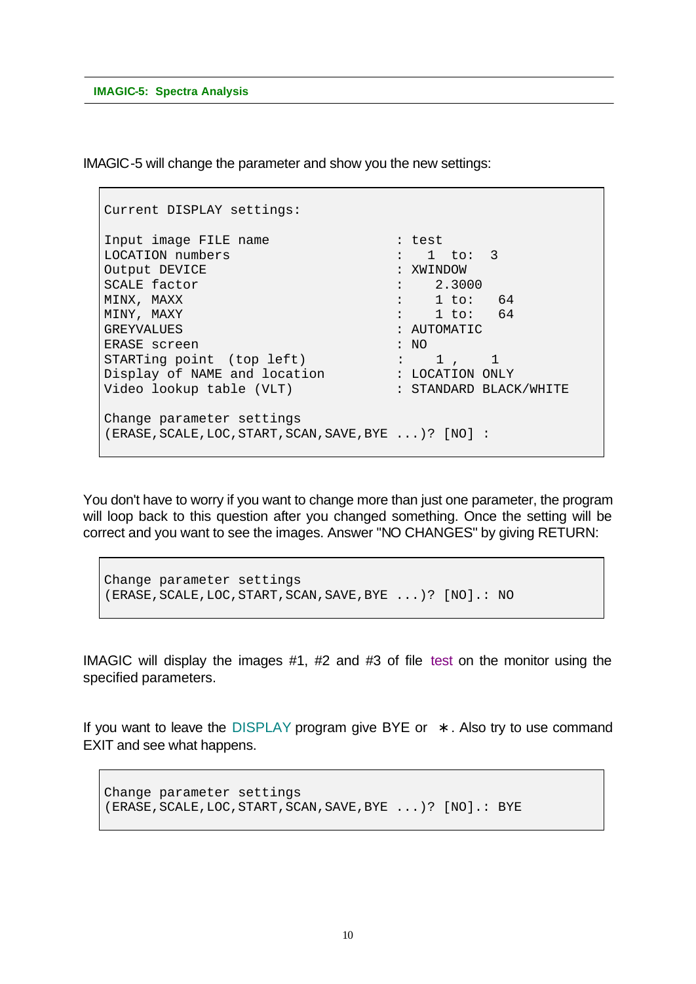IMAGIC-5 will change the parameter and show you the new settings:

```
Current DISPLAY settings:
Input image FILE name : test :
LOCATION numbers \qquad \qquad : \quad 1 \quad \text{to:} \quad 3Output DEVICE : XWINDOW
SCALE factor : 2.3000
MINX, MAXX : 1 to: 64
MINY, MAXY : 1 to: 64
GREYVALUES : AUTOMATIC
ERASE screen : NO
STARTing point (top left) : 1, 1
Display of NAME and location : LOCATION ONLY
Video lookup table (VLT) : STANDARD BLACK/WHITE
Change parameter settings
(ERASE,SCALE,LOC,START,SCAN,SAVE,BYE ...)? [NO] :
```
You don't have to worry if you want to change more than just one parameter, the program will loop back to this question after you changed something. Once the setting will be correct and you want to see the images. Answer "NO CHANGES" by giving RETURN:

```
Change parameter settings
(ERASE,SCALE,LOC,START,SCAN,SAVE,BYE ...)? [NO].: NO
```
IMAGIC will display the images #1, #2 and #3 of file test on the monitor using the specified parameters.

If you want to leave the DISPLAY program give BYE or **\*** . Also try to use command EXIT and see what happens.

```
Change parameter settings
(ERASE,SCALE,LOC,START,SCAN,SAVE,BYE ...)? [NO].: BYE
```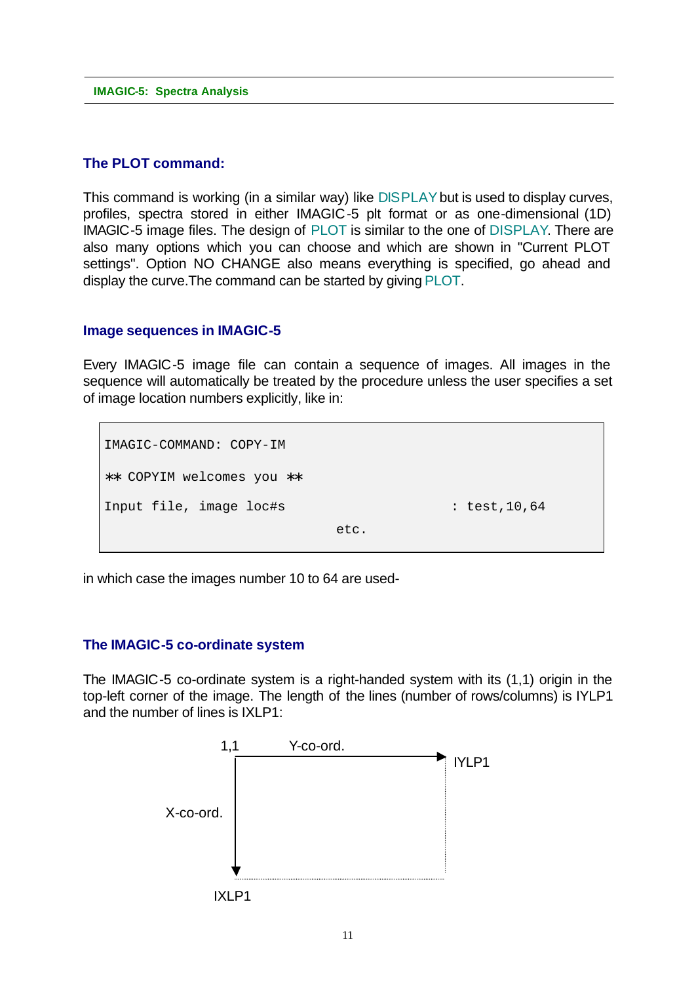### **The PLOT command:**

This command is working (in a similar way) like DISPLAY but is used to display curves, profiles, spectra stored in either IMAGIC-5 plt format or as one-dimensional (1D) IMAGIC-5 image files. The design of PLOT is similar to the one of DISPLAY. There are also many options which you can choose and which are shown in "Current PLOT settings". Option NO CHANGE also means everything is specified, go ahead and display the curve.The command can be started by giving PLOT.

### **Image sequences in IMAGIC-5**

Every IMAGIC-5 image file can contain a sequence of images. All images in the sequence will automatically be treated by the procedure unless the user specifies a set of image location numbers explicitly, like in:

etc.

```
IMAGIC-COMMAND: COPY-IM
∗∗ COPYIM welcomes you ∗∗
Input file, image loc#s : test,10,64
```
in which case the images number 10 to 64 are used-

### **The IMAGIC-5 co-ordinate system**

The IMAGIC-5 co-ordinate system is a right-handed system with its (1,1) origin in the top-left corner of the image. The length of the lines (number of rows/columns) is IYLP1 and the number of lines is  $IXI$  P1:

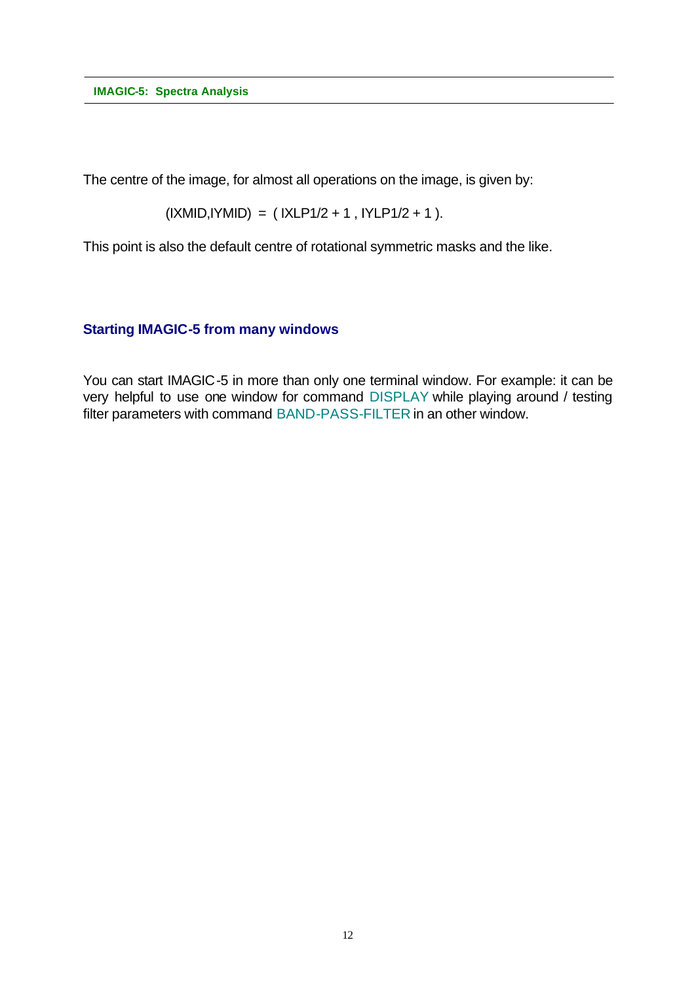The centre of the image, for almost all operations on the image, is given by:

$$
(IXMID, IYMID) = (IXLP1/2 + 1, IYLP1/2 + 1).
$$

This point is also the default centre of rotational symmetric masks and the like.

## **Starting IMAGIC-5 from many windows**

You can start IMAGIC-5 in more than only one terminal window. For example: it can be very helpful to use one window for command DISPLAY while playing around / testing filter parameters with command BAND-PASS-FILTER in an other window.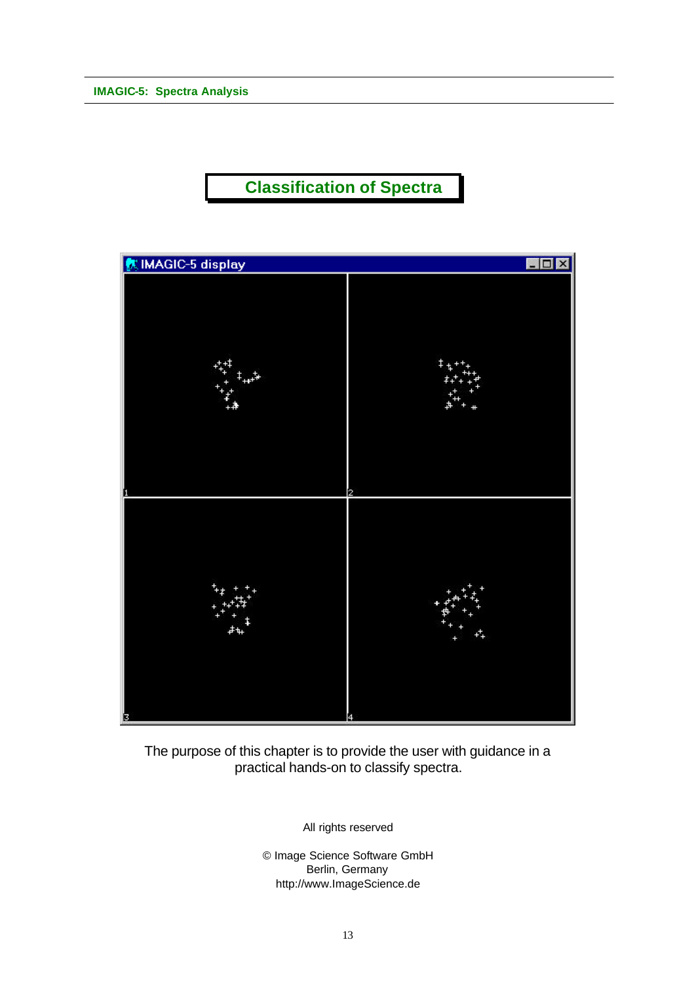# **Classification of Spectra**



The purpose of this chapter is to provide the user with guidance in a practical hands-on to classify spectra.

All rights reserved

© Image Science Software GmbH Berlin, Germany http://www.ImageScience.de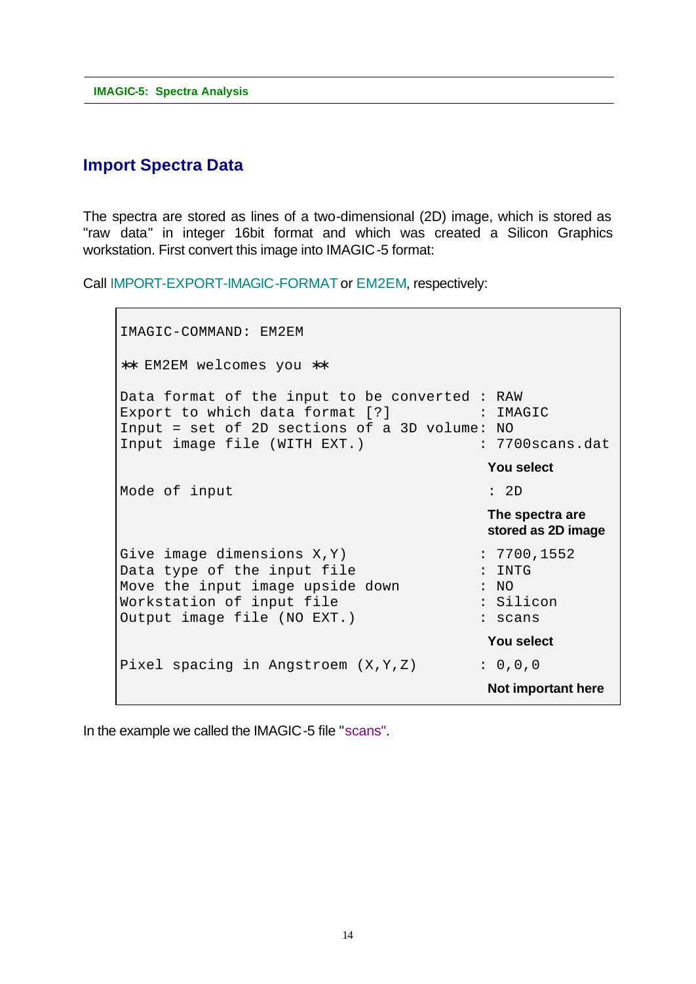# **Import Spectra Data**

The spectra are stored as lines of a two-dimensional (2D) image, which is stored as "raw data" in integer 16bit format and which was created a Silicon Graphics workstation. First convert this image into IMAGIC-5 format:

Call IMPORT-EXPORT-IMAGIC-FORMAT or EM2EM, respectively:

```
IMAGIC-COMMAND: EM2EM
∗∗ EM2EM welcomes you ∗∗
Data format of the input to be converted : RAW
Export to which data format [?] : IMAGIC
Input = set of 2D sections of a 3D volume: NO
Input image file (WITH EXT.) : 7700 scans.dat
                                     You select
Mode of input : 2D
                                     The spectra are
                                    stored as 2D image
Give image dimensions X, Y : 7700,1552
Data type of the input file : INTG
Move the input image upside down : NO
Workstation of input file \qquad: Silicon
Output image file (NO EXT.) : scans
                                     You select
Pixel spacing in Angstroem (X, Y, Z) : 0,0,0
                                     Not important here
```
In the example we called the IMAGIC-5 file "scans".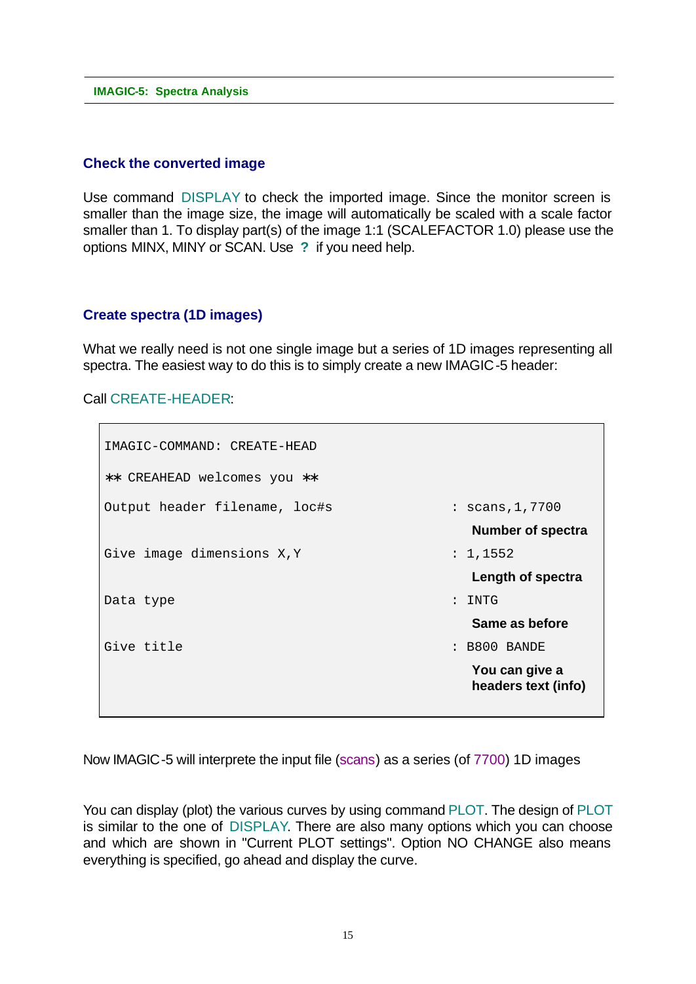### **Check the converted image**

Use command DISPLAY to check the imported image. Since the monitor screen is smaller than the image size, the image will automatically be scaled with a scale factor smaller than 1. To display part(s) of the image 1:1 (SCALEFACTOR 1.0) please use the options MINX, MINY or SCAN. Use **?** if you need help.

### **Create spectra (1D images)**

What we really need is not one single image but a series of 1D images representing all spectra. The easiest way to do this is to simply create a new IMAGIC-5 header:

Call CREATE-HEADER:

```
IMAGIC-COMMAND: CREATE-HEAD
∗∗ CREAHEAD welcomes you ∗∗
Output header filename, loc#s : scans,1,7700
                                     Number of spectra
Give image dimensions X, Y : 1, 1552
                                     Length of spectra
Data type : INTG
                                     Same as before
Give title : B800 BANDE
                                     You can give a
                                    headers text (info)
```
Now IMAGIC-5 will interprete the input file (scans) as a series (of 7700) 1D images

You can display (plot) the various curves by using command PLOT. The design of PLOT is similar to the one of DISPLAY. There are also many options which you can choose and which are shown in "Current PLOT settings". Option NO CHANGE also means everything is specified, go ahead and display the curve.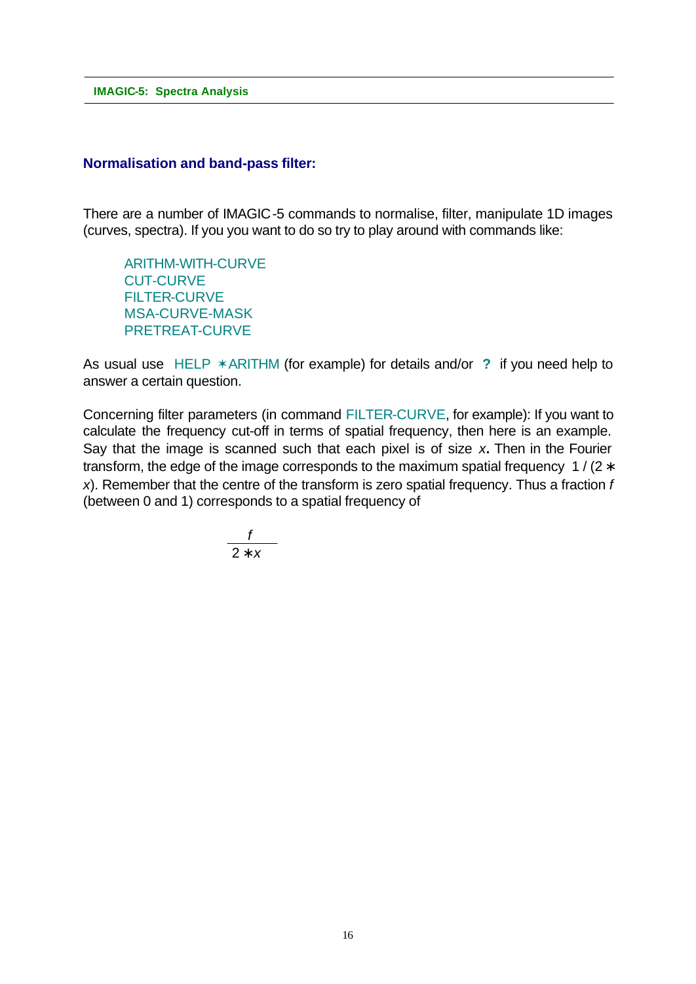### **Normalisation and band-pass filter:**

There are a number of IMAGIC-5 commands to normalise, filter, manipulate 1D images (curves, spectra). If you you want to do so try to play around with commands like:

ARITHM-WITH-CURVE CUT-CURVE FILTER-CURVE MSA-CURVE-MASK PRETREAT-CURVE

As usual use HELP  $*$ ARITHM (for example) for details and/or ? if you need help to answer a certain question.

Concerning filter parameters (in command FILTER-CURVE, for example): If you want to calculate the frequency cut-off in terms of spatial frequency, then here is an example. Say that the image is scanned such that each pixel is of size *x***.** Then in the Fourier transform, the edge of the image corresponds to the maximum spatial frequency 1/ $(2 *$ *x*). Remember that the centre of the transform is zero spatial frequency. Thus a fraction *f* (between 0 and 1) corresponds to a spatial frequency of

$$
\frac{f}{2 * x}
$$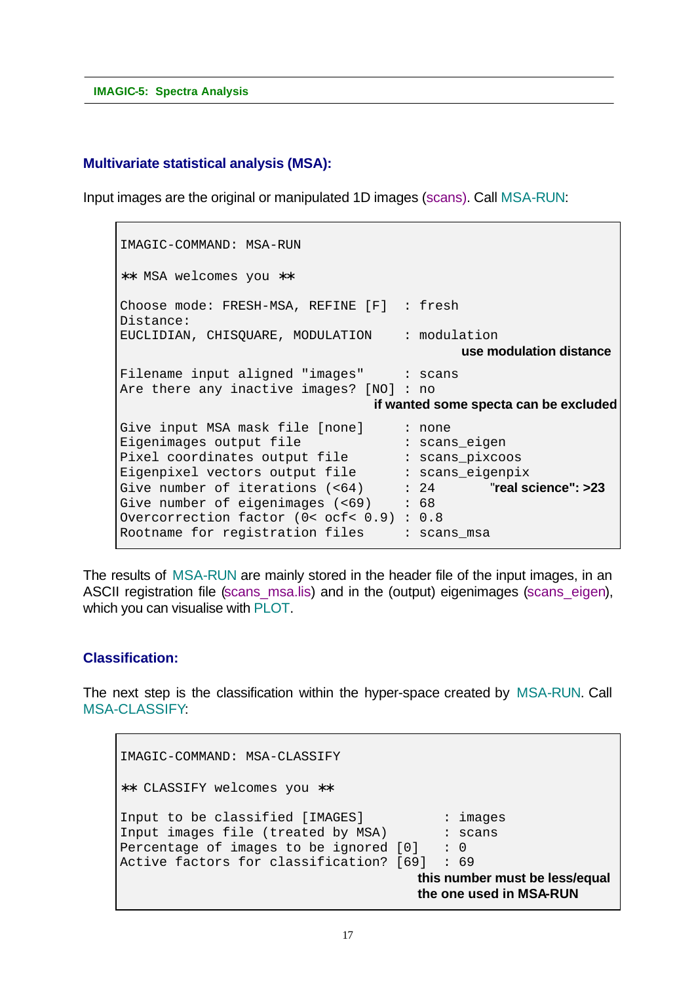### **Multivariate statistical analysis (MSA):**

Input images are the original or manipulated 1D images (scans). Call MSA-RUN:

```
IMAGIC-COMMAND: MSA-RUN
∗∗ MSA welcomes you ∗∗
Choose mode: FRESH-MSA, REFINE [F] : fresh
Distance:
EUCLIDIAN, CHISQUARE, MODULATION : modulation
                                              use modulation distance
Filename input aligned "images" : scans
Are there any inactive images? [NO] : no
                                  if wanted some specta can be excluded
Give input MSA mask file [none] : none
Eigenimages output file : scans_eigen<br>Pixel coordinates output file : scans_pixcoo
Pixel coordinates output file \qquad \qquad : scans_pixcoos
Eigenpixel vectors output file : scans_eigenpix
Give number of iterations (<64) : 24 "real science": >23
Give number of eigenimages (<69) : 68
Overcorrection factor (0< ocf< 0.9) : 0.8
Rootname for registration files : scans msa
```
The results of MSA-RUN are mainly stored in the header file of the input images, in an ASCII registration file (scans\_msa.lis) and in the (output) eigenimages (scans\_eigen), which you can visualise with PLOT.

### **Classification:**

The next step is the classification within the hyper-space created by MSA-RUN. Call MSA-CLASSIFY:

```
IMAGIC-COMMAND: MSA-CLASSIFY
∗∗ CLASSIFY welcomes you ∗∗
Input to be classified [IMAGES] : images
Input images file (treated by MSA) : scans
Percentage of images to be ignored [0] : 0
Active factors for classification? [69] : 69
                                      this number must be less/equal
                                      the one used in MSA-RUN
```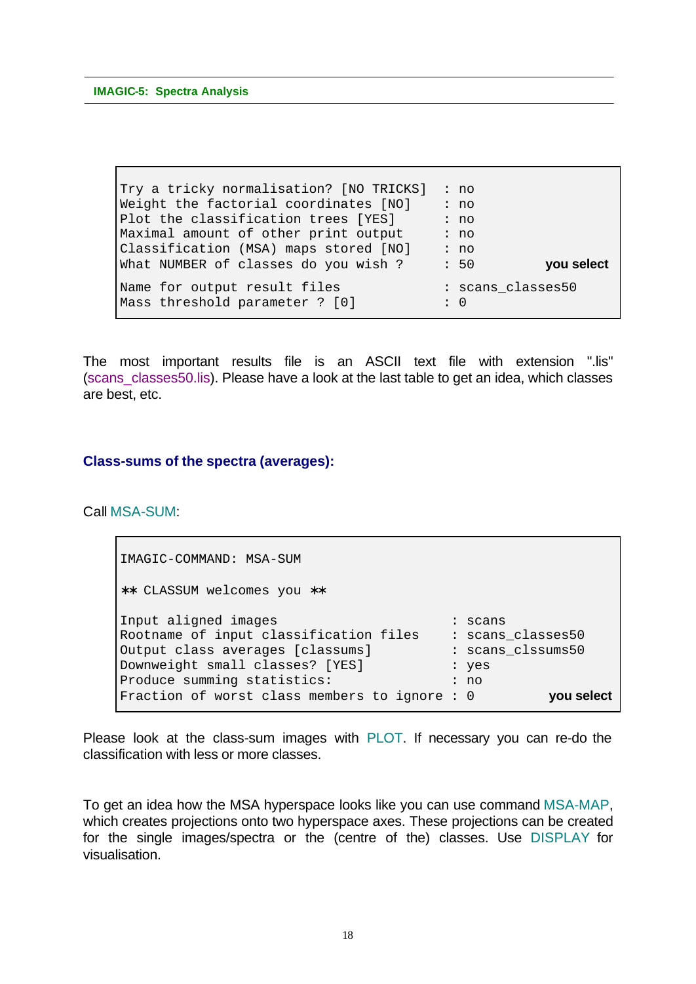Try a tricky normalisation? [NO TRICKS] : no Weight the factorial coordinates  $[NO]$  : no Plot the classification trees [YES] : no Maximal amount of other print output : no Classification (MSA) maps stored [NO] : no What NUMBER of classes do you wish ? : 50 **you select** Name for output result files : scans\_classes50 Mass threshold parameter ? [0] : 0

The most important results file is an ASCII text file with extension ".lis" (scans classes50.lis). Please have a look at the last table to get an idea, which classes are best, etc.

### **Class-sums of the spectra (averages):**

Call MSA-SUM:

IMAGIC-COMMAND: MSA-SUM ∗∗ CLASSUM welcomes you ∗∗ Input aligned images in the seams of the scans Rootname of input classification files : scans\_classes50 Output class averages [classums] : scans\_clssums50 Downweight small classes? [YES] : yes<br>Produce summing statistics: : : : no Produce summing statistics: Fraction of worst class members to ignore : 0 **you select**

Please look at the class-sum images with PLOT. If necessary you can re-do the classification with less or more classes.

To get an idea how the MSA hyperspace looks like you can use command MSA-MAP, which creates projections onto two hyperspace axes. These projections can be created for the single images/spectra or the (centre of the) classes. Use DISPLAY for visualisation.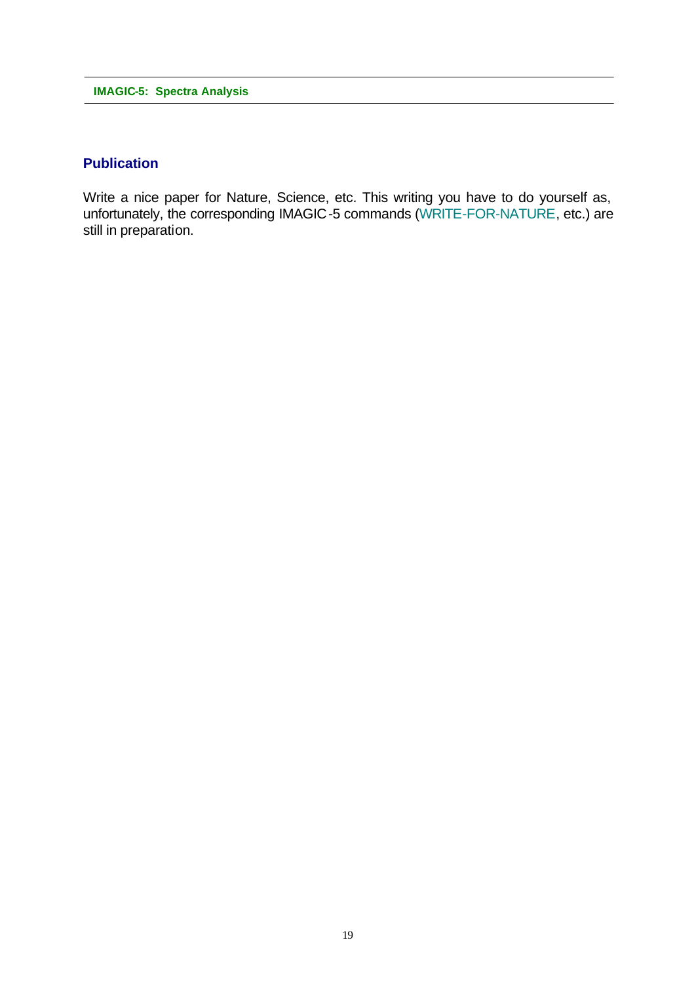### **Publication**

Write a nice paper for Nature, Science, etc. This writing you have to do yourself as, unfortunately, the corresponding IMAGIC-5 commands (WRITE-FOR-NATURE, etc.) are still in preparation.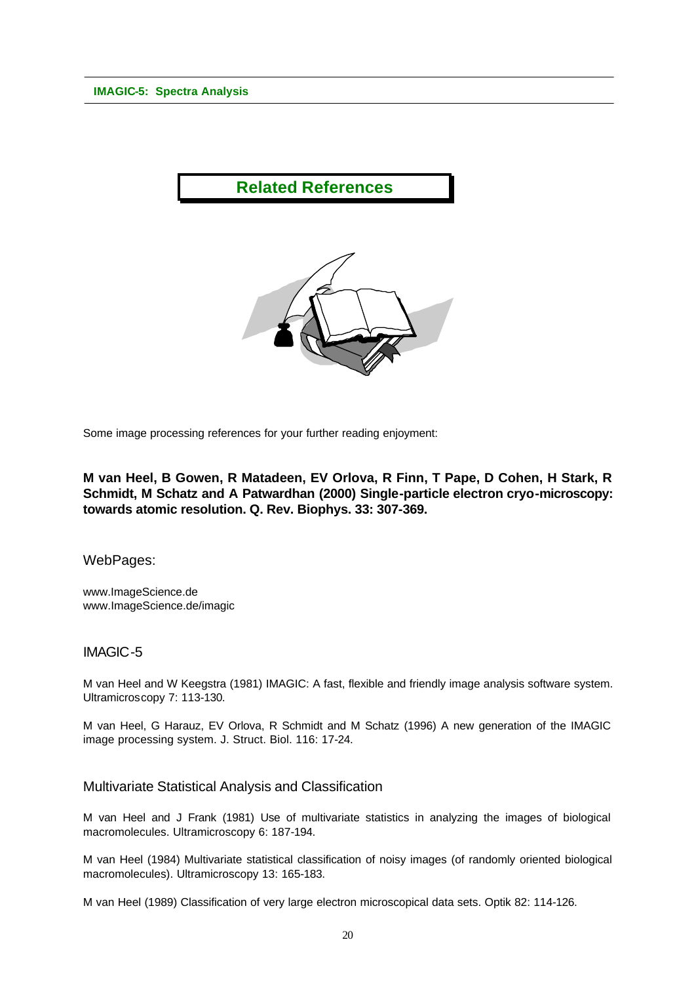

Some image processing references for your further reading enjoyment:

**M van Heel, B Gowen, R Matadeen, EV Orlova, R Finn, T Pape, D Cohen, H Stark, R Schmidt, M Schatz and A Patwardhan (2000) Single-particle electron cryo-microscopy: towards atomic resolution. Q. Rev. Biophys. 33: 307-369.**

WebPages:

www.ImageScience.de www.ImageScience.de/imagic

### IMAGIC-5

M van Heel and W Keegstra (1981) IMAGIC: A fast, flexible and friendly image analysis software system. Ultramicroscopy 7: 113-130.

M van Heel, G Harauz, EV Orlova, R Schmidt and M Schatz (1996) A new generation of the IMAGIC image processing system. J. Struct. Biol. 116: 17-24.

### Multivariate Statistical Analysis and Classification

M van Heel and J Frank (1981) Use of multivariate statistics in analyzing the images of biological macromolecules. Ultramicroscopy 6: 187-194.

M van Heel (1984) Multivariate statistical classification of noisy images (of randomly oriented biological macromolecules). Ultramicroscopy 13: 165-183.

M van Heel (1989) Classification of very large electron microscopical data sets. Optik 82: 114-126.